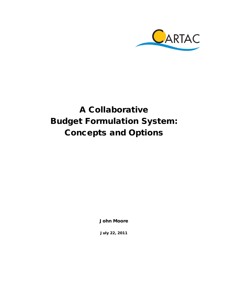

# A Collaborative Budget Formulation System: Concepts and Options

John Moore

July 22, 2011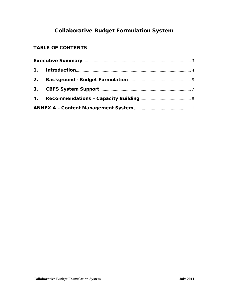# Collaborative Budget Formulation System

### TABLE OF CONTENTS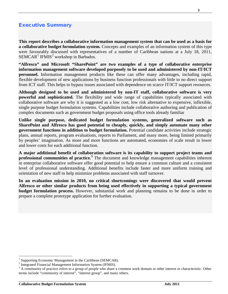### <span id="page-2-0"></span>Executive Summary

**This report describes a collaborative information management system that can be used as a basis for a collaborative budget formulation system.** Concepts and examples of an information system of this type were favourably discussed with representatives of a number of Caribbean nations at a July 18, 2011,  $SEMCAR$ <sup>[1](#page-2-1)</sup> IFMIS<sup>[2](#page-2-2)</sup> workshop in Barbados.

**"Alfresco" and Microsoft "SharePoint" are two examples of a type of collaborative enterprise information management software developed purposely to be used and administered by non-IT/ICT personnel.** Information management products like these can offer many advantages, including rapid, flexible development of new applications by business function professionals with little to no direct support from ICT staff. This helps to bypass issues associated with dependence on scarce IT/ICT support resources.

**Although designed to be used and administered by non-IT staff, collaborative software is very powerful and sophisticated.** The flexibility and wide range of capabilities typically associated with collaborative software are why it is suggested as a low cost, low risk alternative to expensive, inflexible, single purpose budget formulation systems. Capabilities include collaborative authoring and publication of complex documents such as government budget proposals using office tools already familiar

**Unlike single purpose, dedicated budget formulation systems, generalized software such as SharePoint and Alfresco has good potential to cheaply, quickly, and simply automate many other government functions in addition to budget formulation.** Potential candidate activities include strategic plans, annual reports, program evaluations, reports to Parliament, and many more, being limited primarily by peoples' imagination. As more and more functions are automated, economies of scale result in lower and lower costs for each additional function.

**A major additional benefit of collaboration software is its capability to support project teams and professional communities of practice.[3](#page-2-3)** The document and knowledge management capabilities inherent in enterprise collaborative software offer good potential to help ensure a common culture and a consistent level of professional understanding. Additional benefits include faster and more uniform training and orientation of new staff to help minimize problems associated with staff turnover.

**In an evaluation mission in 2010, no critical shortcomings were discovered that would prevent Alfresco or other similar products from being used effectively in supporting a typical government budget formulation process.** However, substantial work and planning remains to be done in order to prepare a complete prototype application for further evaluation.

<span id="page-2-3"></span>

<span id="page-2-2"></span><span id="page-2-1"></span>Supporting Economic Management in the Caribbean (SEMCAR).<br>Integrated Financial Management Information System (IFMIS).<br>A community of practice refers to a group of people who share a common work domain or other interest or terms include "community of interest", "interest group", and many others.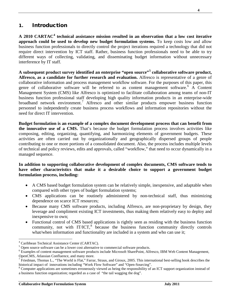## <span id="page-3-0"></span>1. Introduction

**A 2010 CARTAC[4](#page-3-1) technical assistance mission resulted in an observation that a low cost iterative approach could be used to develop new budget formulation systems.** To keep costs low and allow business function professionals to directly control the project iterations required a technology that did not require direct intervention by ICT staff. Rather, business function professionals need to be able to try different ways of collecting, validating, and disseminating budget information without unnecessary interference by IT staff.

**A subsequent product survey identified an enterprise "open source"[5](#page-3-2) collaborative software product, Alfresco, as a candidate for further research and evaluation.** Alfresco is representative of a genre of collaborative information and process management workflow software. For the purposes of this paper, this genre of collaborative software will be referred to as content management software. [6](#page-3-3) A Content Management System (CMS) like Alfresco is optimized to facilitate collaboration among teams of non-IT business function professional staff developing high quality information products in an enterprise-wide broadband network environment.<sup>[7](#page-3-4)</sup> Alfresco and other similar products empower business function personnel to independently create business process workflows and information repositories without the need for direct IT intervention.

**Budget formulation is an example of a complex document development process that can benefit from the innovative use of a CMS.** That's because the budget formulation process involves activities like composing, editing, organizing, quantifying, and harmonizing elements of government budgets. These activities are often carried out by organizationally and geographically dispersed groups of people contributing to one or more portions of a consolidated document. Also, the process includes multiple levels of technical and policy reviews, edits and approvals, called "workflow," that need to occur dynamically in a managed sequence.

#### **In addition to supporting collaborative development of complex documents, CMS software tends to have other characteristics that make it a desirable choice to support a government budget formulation process, including:**

- A CMS based budget formulation system can be relatively simple, inexpensive, and adaptable when compared with other types of budget formulation systems;
- CMS applications can be routinely administered by non-technical staff, thus minimizing dependence on scarce ICT resources;
- Because many CMS software products, including Alfresco, are non-proprietary by design, they leverage and compliment existing ICT investments, thus making them relatively easy to deploy and inexpensive to own;
- Functional control of CMS based applications is rightly seen as residing with the business function community, not with IT/ICT,<sup>[8](#page-3-5)</sup> because the business function community directly controls what/when information and functionality are included in a system and who can use it;

<span id="page-3-1"></span> <sup>4</sup> Caribbean Technical Assistance Center (CARTAC).

<span id="page-3-2"></span><sup>&</sup>lt;sup>5</sup> Open source software can be a lower cost alternative to commercial software products.

<span id="page-3-3"></span><sup>&</sup>lt;sup>6</sup> Examples of content management software products include Microsoft SharePoint, Alfresco, IBM Web Content Management,

<span id="page-3-4"></span>OpenCMS, Atlassian Confluence, and many more.<br><sup>7</sup> Friedman, Thomas L., "The World is Flat," Farrar, Straus, and Giroux, 2005. This international best-selling book describes the historical impact of innovations including "W

<span id="page-3-5"></span> $\delta$  Computer applications are sometimes erroneously viewed as being the responsibility of an ICT support organization instead of a business function organization; regarded as a case of "the tail wagging the dog".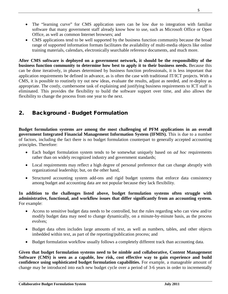- The "learning curve" for CMS application users can be low due to integration with familiar software that many government staff already know how to use, such as Microsoft Office or Open Office, as well as common Internet browsers; and
- CMS applications tend to be well supported by the business function community because the broad range of supported information formats facilitates the availability of multi-media objects like online training materials, calendars, electronically searchable reference documents, and much more.

**After CMS software is deployed on a government network, it should be the responsibility of the business function community to determine how best to apply it to their business needs.** Because this can be done iteratively, in phases determined by business function professionals, it is less important that application requirements be defined in advance, as is often the case with traditional IT/ICT projects. With a CMS, it is possible to routinely try out new ideas, evaluate the results, adjust as needed, and re-deploy as appropriate. The costly, cumbersome task of explaining and justifying business requirements to ICT staff is eliminated. This provides the flexibility to build the software support over time, and also allows the flexibility to change the process from one year to the next.

# <span id="page-4-0"></span>2. Background - Budget Formulation

**Budget formulation systems are among the most challenging of PFM applications in an overall government Integrated Financial Management Information System (IFMIS).** This is due to a number of factors, including the fact there is no budget formulation counterpart to generally accepted accounting principles. Therefore:

- Each budget formulation system tends to be somewhat uniquely based on *ad hoc* requirements rather than on widely recognized industry and government standards;
- Local requirements may reflect a high degree of personal preference that can change abruptly with organizational leadership; but, on the other hand,
- Structured accounting system add-ons and rigid budget systems that enforce data consistency among budget and accounting data are not popular because they lack flexibility.

#### **In addition to the challenges listed above, budget formulation systems often struggle with administrative, functional, and workflow issues that differ significantly from an accounting system.** For example:

- Access to sensitive budget data needs to be controlled, but the rules regarding who can view and/or modify budget data may need to change dynamically, on a minute-by-minute basis, as the process evolves;
- Budget data often includes large amounts of text, as well as numbers, tables, and other objects imbedded within text, as part of the reporting/publication process; and
- Budget formulation workflow usually follows a completely different track than accounting data.

**Given that budget formulation systems need to be nimble and collaborative, Content Management Software (CMS) is seen as a capable, low risk, cost effective way to gain experience and build confidence using sophisticated budget formulation capabilities.** For example, a manageable amount of change may be introduced into each new budget cycle over a period of 3-6 years in order to incrementally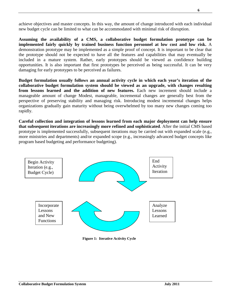achieve objectives and master concepts. In this way, the amount of change introduced with each individual new budget cycle can be limited to what can be accommodated with minimal risk of disruption.

**Assuming the availability of a CMS, a collaborative budget formulation prototype can be implemented fairly quickly by trained business function personnel at low cost and low risk.** A demonstration prototype may be implemented as a simple proof of concept. It is important to be clear that the prototype should not be expected to have all the features and capabilities that may eventually be included in a mature system. Rather, early prototypes should be viewed as confidence building opportunities. It is also important that first prototypes be perceived as being successful. It can be very damaging for early prototypes to be perceived as failures.

**Budget formulation usually follows an annual activity cycle in which each year's iteration of the collaborative budget formulation system should be viewed as an upgrade, with changes resulting from lessons learned and the addition of new features.** Each new increment should include a manageable amount of change Modest, manageable, incremental changes are generally best from the perspective of preserving stability and managing risk. Introducing modest incremental changes helps organizations gradually gain maturity without being overwhelmed by too many new changes coming too rapidly.

**Careful collection and integration of lessons learned from each major deployment can help ensure that subsequent iterations are increasingly more refined and sophisticated**. After the initial CMS based prototype is implemented successfully, subsequent iterations may be carried out with expanded scale (e.g., more ministries and departments) and/or expanded scope (e.g., increasingly advanced budget concepts like program based budgeting and performance budgeting).



**Figure 1: Iterative Activity Cycle**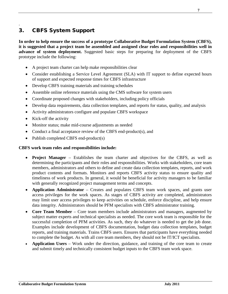# <span id="page-6-0"></span>3. CBFS System Support

.

**In order to help ensure the success of a prototype Collaborative Budget Formulation System (CBFS), it is suggested that a project team be assembled and assigned clear roles and responsibilities well in advance of system deployment.** Suggested basic steps for preparing for deployment of the CBFS prototype include the following:

- A project team charter can help make responsibilities clear
- Consider establishing a Service Level Agreement (SLA) with IT support to define expected hours of support and expected response times for CBFS infrastructure
- Develop CBFS training materials and training schedules
- Assemble online reference materials using the CMS software for system users
- Coordinate proposed changes with stakeholders, including policy officials
- Develop data requirements, data collection templates, and reports for status, quality, and analysis
- Activity administrators configure and populate CBFS workspace
- Kick-off the activity
- Monitor status; make mid-course adjustments as needed
- Conduct a final acceptance review of the CBFS end-product(s), and
- Publish completed CBFS end-product(s)

#### **CBFS work team roles and responsibilities include:**

- **Project Manager** Establishes the team charter and objectives for the CBFS, as well as determining the participants and their roles and responsibilities. Works with stakeholders, core team members, administrators and others to define and create data collection templates, reports, and work product contents and formats. Monitors and reports CBFS activity status to ensure quality and timeliness of work products. In general, it would be beneficial for activity managers to be familiar with generally recognized project management terms and concepts.
- **Application Administrator** Creates and populates CBFS team work spaces, and grants user access privileges for the work spaces. As stages of CBFS activity are completed, administrators may limit user access privileges to keep activities on schedule, enforce discipline, and help ensure data integrity. Administrators should be PFM specialists with CBFS administrator training.
- **Core Team Member** Core team members include administrators and managers, augmented by subject matter experts and technical specialists as needed. The core work team is responsible for the successful completion of PFM activities. As such, they do whatever is needed to get the job done. Examples include development of CBFS documentation, budget data collection templates, budget reports, and training materials. Trains CBFS users. Ensures that participants have everything needed to complete the budget. As with all core team members, they should not be IT/ICT specialists.
- **Application Users** Work under the direction, guidance, and training of the core team to create and submit timely and technically consistent budget inputs to the CBFS team work space.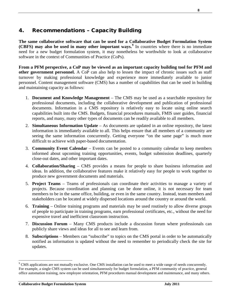# <span id="page-7-0"></span>4. Recommendations – Capacity Building

**The same collaborative software that can be used for a Collaborative Budget Formulation System (CBFS) may also be used in many other important ways.[9](#page-7-1)** In countries where there is no immediate need for a new budget formulation system, it may nonetheless be worthwhile to look at collaborative software in the context of Communities of Practice (CoPs).

**From a PFM perspective, a CoP may be viewed as an important capacity building tool for PFM and other government personnel.** A CoP can also help to lessen the impact of chronic issues such as staff turnover by making professional knowledge and experience more immediately available to junior personnel. Content management software (CMS) has a number of capabilities that can be used in building and maintaining capacity as follows:

- 1. **Document and Knowledge Management** The CMS may be used as a searchable repository for professional documents, including the collaborative development and publication of professional documents. Information in a CMS repository is relatively easy to locate using online search capabilities built into the CMS. Budgets, financial procedures manuals, FMIS user guides, financial reports, and many, many other types of documents can be readily available to all members.
- 2. **Simultaneous Information Update**  As documents are updated in an online repository, the latest information is immediately available to all. This helps ensure that all members of a community are seeing the same information concurrently. Getting everyone "on the same page" is much more difficult to achieve with paper-based documentation.
- 3. **Community Event Calendar** Events can be posted to a community calendar to keep members informed about upcoming training opportunities, events, budget submission deadlines, quarterly close-out dates, and other important dates.
- 4. **Collaboration/Sharing** CMS provides a means for people to share business information and ideas. In addition, the collaborative features make it relatively easy for people to work together to produce new government documents and materials.
- 5. **Project Teams** Teams of professionals can coordinate their activities to manage a variety of projects. Because coordination and planning can be done online, it is not necessary for team members to be in the same office, building, or even in the same country. Instead, team members and stakeholders can be located at widely dispersed locations around the country or around the world.
- 6. **Training** Online training programs and materials may be used routinely to allow diverse groups of people to participate in training programs, earn professional certificates, etc., without the need for expensive travel and inefficient classroom instruction.
- 7. **Discussion Forum** Many CMS products include a discussion forum where professionals can publicly share views and ideas for all to see and learn from.
- 8. **Subscriptions** Members can "subscribe" to topics on the CMS portal in order to be automatically notified as information is updated without the need to remember to periodically check the site for updates.

<span id="page-7-1"></span><sup>&</sup>lt;sup>9</sup> CMS applications are not mutually exclusive. One CMS installation can be used to meet a wide range of needs concurrently. For example, a single CMS system can be used simultaneously for budget formulation, a PFM community of practice, general office automation training, new employee orientation, PFM procedures manual development and maintenance, and many others.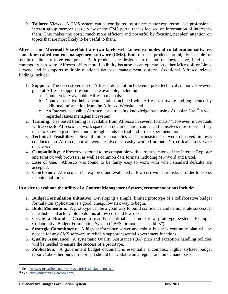9. **Tailored Views** – A CMS system can be configured by subject matter experts so each professional interest group member sees a view of the CMS portal that is focused on information of interest to them. This makes the portal much more efficient and powerful by focusing peoples' attention on topics that are most likely to be useful to them.

**Alfresco and Microsoft SharePoint are two fairly well known examples of collaboration software, sometimes called content management software (CMS).** Both of these products are highly scalable for use in medium to large enterprises. Both products are designed to operate on inexpensive, Intel-based commodity hardware. Alfresco offers more flexibility because it can operate on either Microsoft or Linux servers, and it supports multiple relational database management systems. Additional Alfresco related findings include:

- 1. **Support:** The no-cost version of Alfresco does not include enterprise technical support. However, general Alfresco support resources are available, including:
	- a. Commercially available Alfresco manuals;
	- b. Context sensitive help documentation included with Alfresco software and augmented by additional information from the Alfresco Website; and
	- c. An Internet accessible Alfresco issue tracking knowledge base using Atlassian Jira, <sup>[10](#page-8-0)</sup> a well regarded issues management system.
- 2. Training: Fee based training is available from Alfresco in several formats.<sup>[11](#page-8-1)</sup> However, individuals with access to Alfresco test work space and documentation can teach themselves most of what they need to know in just a few hours through hands-on trial-and-error experimentation.
- 3. **Technical Feasibility:** Several minor anomalies and inconsistencies were observed in tests conducted on Alfresco, but all were resolved or easily worked around. No critical issues were discovered.
- 4. **Compatibility:** Alfresco was found to be compatible with current versions of the Internet Explorer and FireFox web browsers, as well as common data formats including MS Word and Excel.
- 5. **Ease of Use:** Alfresco was found to be fairly easy to work with when standard defaults are accepted.
- 6. **Conclusion:** Alfresco can be explored and evaluated at low cost with few risks in order to assess its potential for use.

### **In order to evaluate the utility of a Content Management System, recommendations include:**

- 1. **Budget Formulation Initiative:** Developing a simple, limited prototype of a collaborative budget formulation application is a good, cheap, low risk way to begin.
- 2. **Build Momentum:** A prototype can be a good way to build confidence and demonstrate success. It is realistic and achievable to do this at low cost and low risk.
- 3. **Create a Brand:** Choose a readily identifiable name for a prototype system. Example: Collaborative Budget Formulation System (CBFS, pronounce "see-biifs").
- 4. **Strategic Commitment:** A high performance server and robust business continuity plan will be needed for any CMS software to reliably support essential government functions.
- 5. **Quality Assurance:** A systematic Quality Assurance (QA) plan and exception handling policies will be needed to ensure the success of a prototype.
- 6. **Publication:** A government budget document is essentially a complex, highly stylized budget report. Like other budget reports, it should be available on a regular and on demand basis.

<span id="page-8-1"></span><span id="page-8-0"></span><sup>&</sup>lt;sup>10</sup> See:<http://issues.alfresco.com/jira/secure/IssueNavigator.jspa> <sup>11</sup> See:<http://university.alfresco.com/>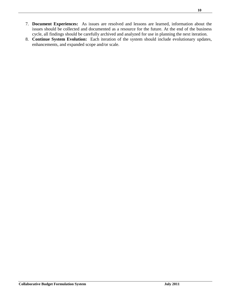- 7. **Document Experiences:** As issues are resolved and lessons are learned, information about the issues should be collected and documented as a resource for the future. At the end of the business cycle, all findings should be carefully archived and analyzed for use in planning the next iteration.
- 8. **Continue System Evolution:** Each iteration of the system should include evolutionary updates, enhancements, and expanded scope and/or scale.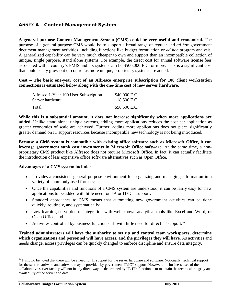### <span id="page-10-0"></span>ANNEX A – Content Management System

**A general purpose Content Management System (CMS) could be very useful and economical.** The purpose of a general purpose CMS would be to support a broad range of regular and *ad hoc* government document management activities, including functions like budget formulation or *ad hoc* program analysis. A generalized capability can be very much cheaper to own and support than an incompatible collection of unique, single purpose, stand alone systems. For example, the direct cost for annual software license fees associated with a country's FMIS and tax systems can be \$500,000 E.C. or more. This is a significant cost that could easily grow out of control as more unique, proprietary systems are added.

**Cost – The basic one-year cost of an Alfresco enterprise subscription for 100 client workstation connections is estimated below along with the one-time cost of new server hardware.**

| Alfresco 1-Year 100 User Subscription | \$40,000 E.C. |
|---------------------------------------|---------------|
| Server hardware                       | 18,500 E.C.   |
| Total                                 | \$58,500 E.C. |

**While this is a substantial amount, it does not increase significantly when more applications are added.** Unlike stand alone, unique systems, adding more applications reduces the cost per application as greater economies of scale are achieved. Further, adding more applications does not place significantly greater demand on IT support resources because incompatible new technology is not being introduced.

**Because a CMS system is compatible with existing office software such as Microsoft Office, it can leverage government sunk cost investments in Microsoft Office software.** At the same time, a nonproprietary CMS product like Alfresco does not require Microsoft Office. In fact, it can actually facilitate the introduction of less expensive office software alternatives such as Open Office.

#### **Advantages of a CMS system include:**

- Provides a consistent, general purpose environment for organizing and managing information in a variety of commonly used formats;
- Once the capabilities and functions of a CMS system are understood, it can be fairly easy for new applications to be added with little need for TA or IT/ICT support;
- Standard approaches to CMS means that automating new government activities can be done quickly, routinely, and systematically;
- Low learning curve due to integration with well known analytical tools like Excel and Word, or Open Office; and
- Activities controlled by business function staff with little need for direct IT support.<sup>[12](#page-10-1)</sup>

**Trained administrators will have the authority to set up and control team workspaces, determine which organizations and personnel will have access, and the privileges they will have.** As activities and needs change, access privileges can be quickly changed to enforce discipline and ensure data integrity.

<span id="page-10-1"></span> $12$  It should be noted that there will be a need for IT support for the server hardware and software. Notionally, technical support for the server hardware and software may be provided by government IT/ICT support. However, the business uses of the collaborative server facility will not in any direct way be determined by IT. IT's function is to maintain the technical integrity and availability of the server and data.